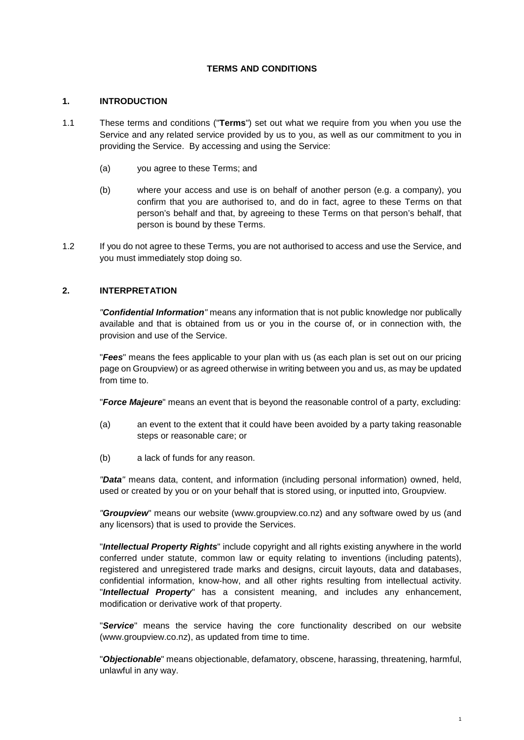### **TERMS AND CONDITIONS**

#### **1. INTRODUCTION**

- 1.1 These terms and conditions ("**Terms**") set out what we require from you when you use the Service and any related service provided by us to you, as well as our commitment to you in providing the Service. By accessing and using the Service:
	- (a) you agree to these Terms; and
	- (b) where your access and use is on behalf of another person (e.g. a company), you confirm that you are authorised to, and do in fact, agree to these Terms on that person's behalf and that, by agreeing to these Terms on that person's behalf, that person is bound by these Terms.
- <span id="page-0-0"></span>1.2 If you do not agree to these Terms, you are not authorised to access and use the Service, and you must immediately stop doing so.

## **2. INTERPRETATION**

*"Confidential Information"* means any information that is not public knowledge nor publically available and that is obtained from us or you in the course of, or in connection with, the provision and use of the Service.

"*Fees*" means the fees applicable to your plan with us (as each plan is set out on our pricing page on Groupview) or as agreed otherwise in writing between you and us, as may be updated from time to.

"*Force Majeure*" means an event that is beyond the reasonable control of a party, excluding:

- (a) an event to the extent that it could have been avoided by a party taking reasonable steps or reasonable care; or
- (b) a lack of funds for any reason.

*"Data"* means data, content, and information (including personal information) owned, held, used or created by you or on your behalf that is stored using, or inputted into, Groupview.

*"Groupview*" means our website (www.groupview.co.nz) and any software owed by us (and any licensors) that is used to provide the Services.

"*Intellectual Property Rights*" include copyright and all rights existing anywhere in the world conferred under statute, common law or equity relating to inventions (including patents), registered and unregistered trade marks and designs, circuit layouts, data and databases, confidential information, know-how, and all other rights resulting from intellectual activity. "*Intellectual Property*" has a consistent meaning, and includes any enhancement, modification or derivative work of that property.

"*Service*" means the service having the core functionality described on our website (www.groupview.co.nz), as updated from time to time.

"*Objectionable*" means objectionable, defamatory, obscene, harassing, threatening, harmful, unlawful in any way.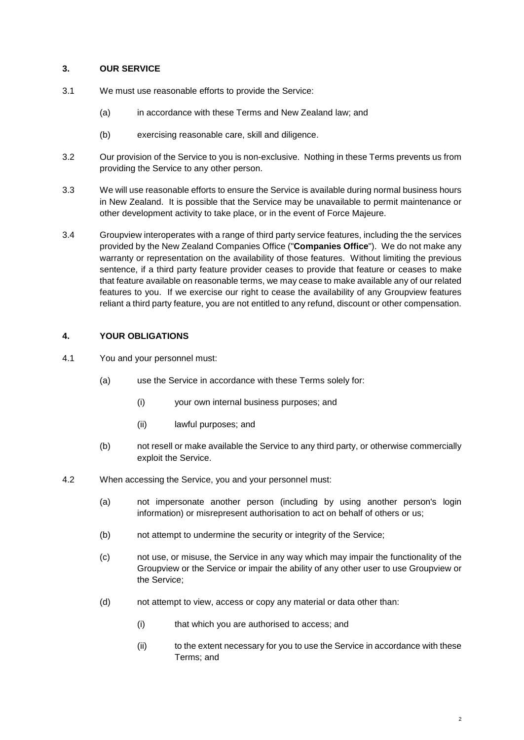### **3. OUR SERVICE**

- 3.1 We must use reasonable efforts to provide the Service:
	- (a) in accordance with these Terms and New Zealand law; and
	- (b) exercising reasonable care, skill and diligence.
- 3.2 Our provision of the Service to you is non-exclusive. Nothing in these Terms prevents us from providing the Service to any other person.
- 3.3 We will use reasonable efforts to ensure the Service is available during normal business hours in New Zealand. It is possible that the Service may be unavailable to permit maintenance or other development activity to take place, or in the event of Force Majeure.
- 3.4 Groupview interoperates with a range of third party service features, including the the services provided by the New Zealand Companies Office ("**Companies Office**"). We do not make any warranty or representation on the availability of those features. Without limiting the previous sentence, if a third party feature provider ceases to provide that feature or ceases to make that feature available on reasonable terms, we may cease to make available any of our related features to you. If we exercise our right to cease the availability of any Groupview features reliant a third party feature, you are not entitled to any refund, discount or other compensation.

### **4. YOUR OBLIGATIONS**

- 4.1 You and your personnel must:
	- (a) use the Service in accordance with these Terms solely for:
		- (i) your own internal business purposes; and
		- (ii) lawful purposes; and
	- (b) not resell or make available the Service to any third party, or otherwise commercially exploit the Service.
- 4.2 When accessing the Service, you and your personnel must:
	- (a) not impersonate another person (including by using another person's login information) or misrepresent authorisation to act on behalf of others or us;
	- (b) not attempt to undermine the security or integrity of the Service;
	- (c) not use, or misuse, the Service in any way which may impair the functionality of the Groupview or the Service or impair the ability of any other user to use Groupview or the Service;
	- (d) not attempt to view, access or copy any material or data other than:
		- (i) that which you are authorised to access; and
		- (ii) to the extent necessary for you to use the Service in accordance with these Terms; and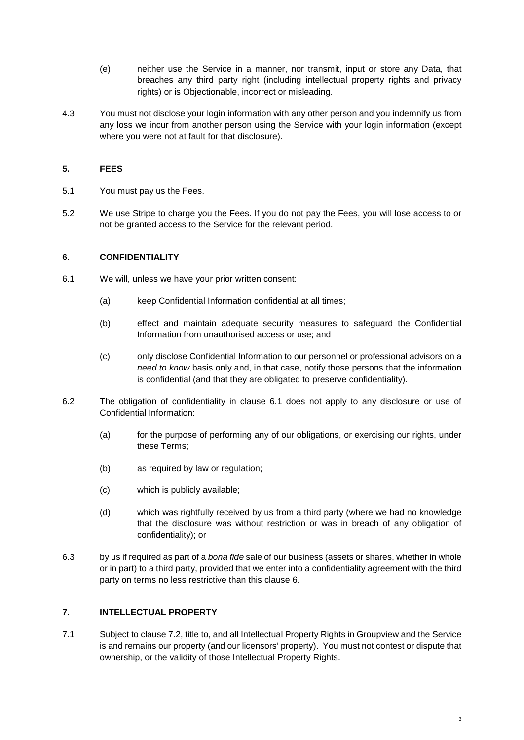- (e) neither use the Service in a manner, nor transmit, input or store any Data, that breaches any third party right (including intellectual property rights and privacy rights) or is Objectionable, incorrect or misleading.
- 4.3 You must not disclose your login information with any other person and you indemnify us from any loss we incur from another person using the Service with your login information (except where you were not at fault for that disclosure).

### **5. FEES**

- 5.1 You must pay us the Fees.
- <span id="page-2-1"></span>5.2 We use Stripe to charge you the Fees. If you do not pay the Fees, you will lose access to or not be granted access to the Service for the relevant period.

### <span id="page-2-0"></span>**6. CONFIDENTIALITY**

- 6.1 We will, unless we have your prior written consent:
	- (a) keep Confidential Information confidential at all times;
	- (b) effect and maintain adequate security measures to safeguard the Confidential Information from unauthorised access or use; and
	- (c) only disclose Confidential Information to our personnel or professional advisors on a *need to know* basis only and, in that case, notify those persons that the information is confidential (and that they are obligated to preserve confidentiality).
- 6.2 The obligation of confidentiality in clause [6.1](#page-2-0) does not apply to any disclosure or use of Confidential Information:
	- (a) for the purpose of performing any of our obligations, or exercising our rights, under these Terms;
	- (b) as required by law or regulation;
	- (c) which is publicly available;
	- (d) which was rightfully received by us from a third party (where we had no knowledge that the disclosure was without restriction or was in breach of any obligation of confidentiality); or
- 6.3 by us if required as part of a *bona fide* sale of our business (assets or shares, whether in whole or in part) to a third party, provided that we enter into a confidentiality agreement with the third party on terms no less restrictive than this clause [6.](#page-2-1)

# **7. INTELLECTUAL PROPERTY**

7.1 Subject to clause [7.2,](#page-3-0) title to, and all Intellectual Property Rights in Groupview and the Service is and remains our property (and our licensors' property). You must not contest or dispute that ownership, or the validity of those Intellectual Property Rights.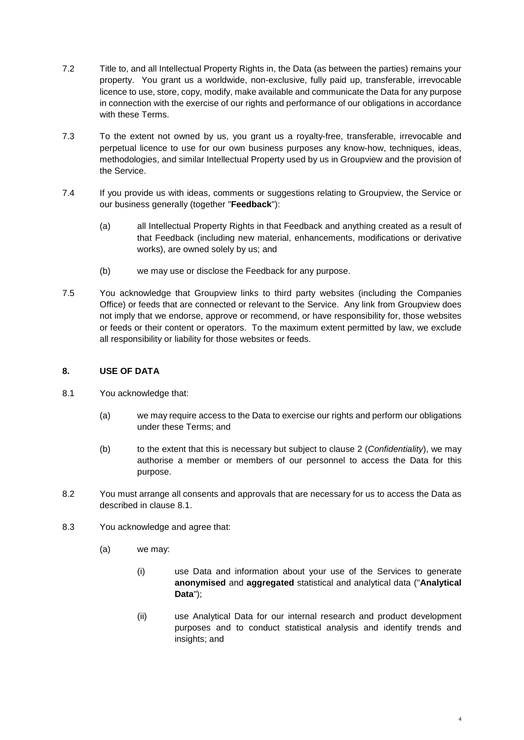- <span id="page-3-0"></span>7.2 Title to, and all Intellectual Property Rights in, the Data (as between the parties) remains your property. You grant us a worldwide, non-exclusive, fully paid up, transferable, irrevocable licence to use, store, copy, modify, make available and communicate the Data for any purpose in connection with the exercise of our rights and performance of our obligations in accordance with these Terms.
- 7.3 To the extent not owned by us, you grant us a royalty-free, transferable, irrevocable and perpetual licence to use for our own business purposes any know-how, techniques, ideas, methodologies, and similar Intellectual Property used by us in Groupview and the provision of the Service.
- 7.4 If you provide us with ideas, comments or suggestions relating to Groupview, the Service or our business generally (together "**Feedback**"):
	- (a) all Intellectual Property Rights in that Feedback and anything created as a result of that Feedback (including new material, enhancements, modifications or derivative works), are owned solely by us; and
	- (b) we may use or disclose the Feedback for any purpose.
- 7.5 You acknowledge that Groupview links to third party websites (including the Companies Office) or feeds that are connected or relevant to the Service. Any link from Groupview does not imply that we endorse, approve or recommend, or have responsibility for, those websites or feeds or their content or operators. To the maximum extent permitted by law, we exclude all responsibility or liability for those websites or feeds.

## <span id="page-3-2"></span><span id="page-3-1"></span>**8. USE OF DATA**

- 8.1 You acknowledge that:
	- (a) we may require access to the Data to exercise our rights and perform our obligations under these Terms; and
	- (b) to the extent that this is necessary but subject to clause [2](#page-0-0) (*Confidentiality*), we may authorise a member or members of our personnel to access the Data for this purpose.
- 8.2 You must arrange all consents and approvals that are necessary for us to access the Data as described in clause [8.1.](#page-3-1)
- 8.3 You acknowledge and agree that:
	- (a) we may:
		- (i) use Data and information about your use of the Services to generate **anonymised** and **aggregated** statistical and analytical data ("**Analytical Data**");
		- (ii) use Analytical Data for our internal research and product development purposes and to conduct statistical analysis and identify trends and insights; and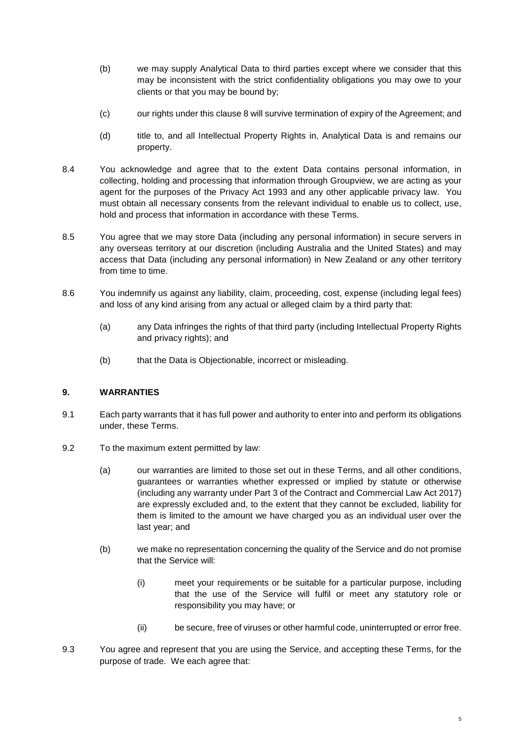- (b) we may supply Analytical Data to third parties except where we consider that this may be inconsistent with the strict confidentiality obligations you may owe to your clients or that you may be bound by;
- (c) our rights under this clause [8 w](#page-3-2)ill survive termination of expiry of the Agreement; and
- (d) title to, and all Intellectual Property Rights in, Analytical Data is and remains our property.
- 8.4 You acknowledge and agree that to the extent Data contains personal information, in collecting, holding and processing that information through Groupview, we are acting as your agent for the purposes of the Privacy Act 1993 and any other applicable privacy law. You must obtain all necessary consents from the relevant individual to enable us to collect, use, hold and process that information in accordance with these Terms.
- 8.5 You agree that we may store Data (including any personal information) in secure servers in any overseas territory at our discretion (including Australia and the United States) and may access that Data (including any personal information) in New Zealand or any other territory from time to time.
- 8.6 You indemnify us against any liability, claim, proceeding, cost, expense (including legal fees) and loss of any kind arising from any actual or alleged claim by a third party that:
	- (a) any Data infringes the rights of that third party (including Intellectual Property Rights and privacy rights); and
	- (b) that the Data is Objectionable, incorrect or misleading.

# **9. WARRANTIES**

- 9.1 Each party warrants that it has full power and authority to enter into and perform its obligations under, these Terms.
- <span id="page-4-1"></span>9.2 To the maximum extent permitted by law:
	- (a) our warranties are limited to those set out in these Terms, and all other conditions, guarantees or warranties whether expressed or implied by statute or otherwise (including any warranty under Part 3 of the Contract and Commercial Law Act 2017) are expressly excluded and, to the extent that they cannot be excluded, liability for them is limited to the amount we have charged you as an individual user over the last year; and
	- (b) we make no representation concerning the quality of the Service and do not promise that the Service will:
		- (i) meet your requirements or be suitable for a particular purpose, including that the use of the Service will fulfil or meet any statutory role or responsibility you may have; or
		- (ii) be secure, free of viruses or other harmful code, uninterrupted or error free.
- <span id="page-4-0"></span>9.3 You agree and represent that you are using the Service, and accepting these Terms, for the purpose of trade. We each agree that: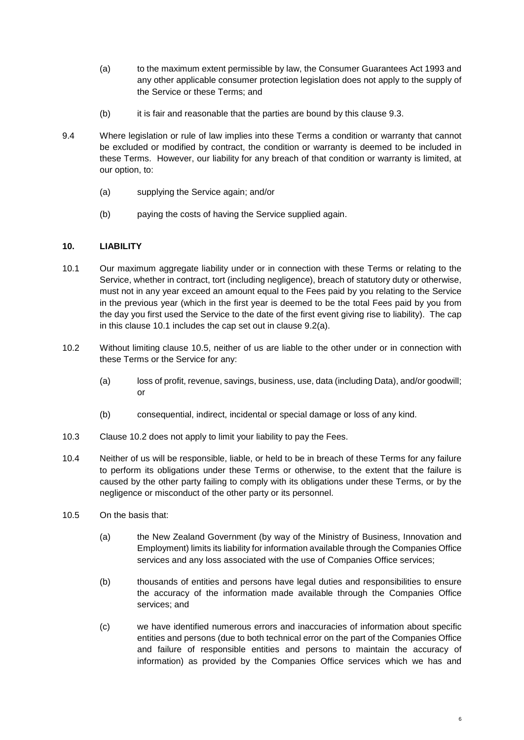- (a) to the maximum extent permissible by law, the Consumer Guarantees Act 1993 and any other applicable consumer protection legislation does not apply to the supply of the Service or these Terms; and
- (b) it is fair and reasonable that the parties are bound by this clause [9.3.](#page-4-0)
- 9.4 Where legislation or rule of law implies into these Terms a condition or warranty that cannot be excluded or modified by contract, the condition or warranty is deemed to be included in these Terms. However, our liability for any breach of that condition or warranty is limited, at our option, to:
	- (a) supplying the Service again; and/or
	- (b) paying the costs of having the Service supplied again.

# <span id="page-5-0"></span>**10. LIABILITY**

- 10.1 Our maximum aggregate liability under or in connection with these Terms or relating to the Service, whether in contract, tort (including negligence), breach of statutory duty or otherwise, must not in any year exceed an amount equal to the Fees paid by you relating to the Service in the previous year (which in the first year is deemed to be the total Fees paid by you from the day you first used the Service to the date of the first event giving rise to liability). The cap in this clause [10.1](#page-5-0) includes the cap set out in clause [9.2\(a\).](#page-4-1)
- <span id="page-5-2"></span>10.2 Without limiting clause [10.5,](#page-5-1) neither of us are liable to the other under or in connection with these Terms or the Service for any:
	- (a) loss of profit, revenue, savings, business, use, data (including Data), and/or goodwill; or
	- (b) consequential, indirect, incidental or special damage or loss of any kind.
- 10.3 Clause [10.2](#page-5-2) does not apply to limit your liability to pay the Fees.
- 10.4 Neither of us will be responsible, liable, or held to be in breach of these Terms for any failure to perform its obligations under these Terms or otherwise, to the extent that the failure is caused by the other party failing to comply with its obligations under these Terms, or by the negligence or misconduct of the other party or its personnel.
- <span id="page-5-1"></span>10.5 On the basis that:
	- (a) the New Zealand Government (by way of the Ministry of Business, Innovation and Employment) limits its liability for information available through the Companies Office services and any loss associated with the use of Companies Office services;
	- (b) thousands of entities and persons have legal duties and responsibilities to ensure the accuracy of the information made available through the Companies Office services; and
	- (c) we have identified numerous errors and inaccuracies of information about specific entities and persons (due to both technical error on the part of the Companies Office and failure of responsible entities and persons to maintain the accuracy of information) as provided by the Companies Office services which we has and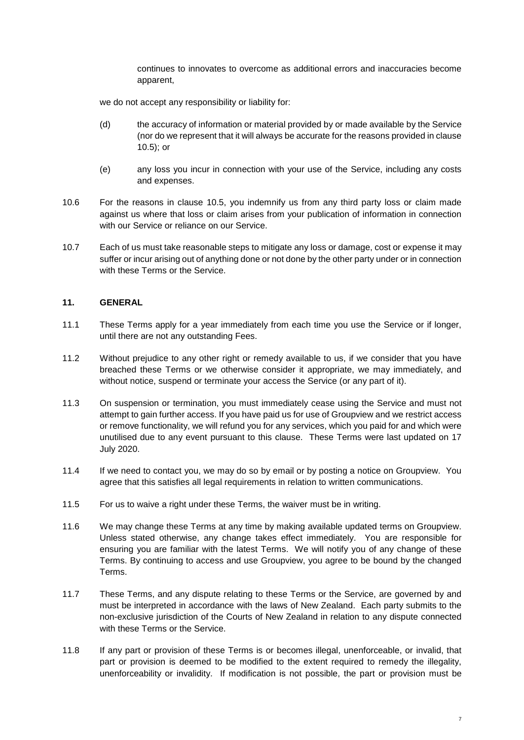continues to innovates to overcome as additional errors and inaccuracies become apparent,

we do not accept any responsibility or liability for:

- (d) the accuracy of information or material provided by or made available by the Service (nor do we represent that it will always be accurate for the reasons provided in clause [10.5\)](#page-5-1); or
- (e) any loss you incur in connection with your use of the Service, including any costs and expenses.
- 10.6 For the reasons in clause [10.5,](#page-5-1) you indemnify us from any third party loss or claim made against us where that loss or claim arises from your publication of information in connection with our Service or reliance on our Service.
- 10.7 Each of us must take reasonable steps to mitigate any loss or damage, cost or expense it may suffer or incur arising out of anything done or not done by the other party under or in connection with these Terms or the Service.

#### **11. GENERAL**

- 11.1 These Terms apply for a year immediately from each time you use the Service or if longer, until there are not any outstanding Fees.
- 11.2 Without prejudice to any other right or remedy available to us, if we consider that you have breached these Terms or we otherwise consider it appropriate, we may immediately, and without notice, suspend or terminate your access the Service (or any part of it).
- 11.3 On suspension or termination, you must immediately cease using the Service and must not attempt to gain further access. If you have paid us for use of Groupview and we restrict access or remove functionality, we will refund you for any services, which you paid for and which were unutilised due to any event pursuant to this clause. These Terms were last updated on 17 July 2020.
- 11.4 If we need to contact you, we may do so by email or by posting a notice on Groupview. You agree that this satisfies all legal requirements in relation to written communications.
- 11.5 For us to waive a right under these Terms, the waiver must be in writing.
- 11.6 We may change these Terms at any time by making available updated terms on Groupview. Unless stated otherwise, any change takes effect immediately. You are responsible for ensuring you are familiar with the latest Terms. We will notify you of any change of these Terms. By continuing to access and use Groupview, you agree to be bound by the changed Terms.
- 11.7 These Terms, and any dispute relating to these Terms or the Service, are governed by and must be interpreted in accordance with the laws of New Zealand. Each party submits to the non-exclusive jurisdiction of the Courts of New Zealand in relation to any dispute connected with these Terms or the Service.
- 11.8 If any part or provision of these Terms is or becomes illegal, unenforceable, or invalid, that part or provision is deemed to be modified to the extent required to remedy the illegality, unenforceability or invalidity. If modification is not possible, the part or provision must be